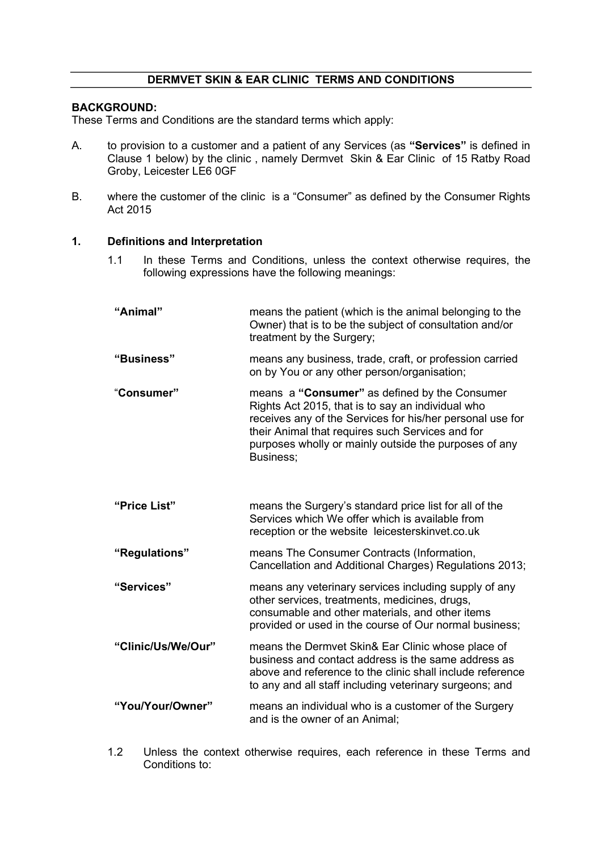# DERMVET SKIN & EAR CLINIC TERMS AND CONDITIONS

# BACKGROUND:

These Terms and Conditions are the standard terms which apply:

- A. to provision to a customer and a patient of any Services (as "Services" is defined in Clause 1 below) by the clinic , namely Dermvet Skin & Ear Clinic of 15 Ratby Road Groby, Leicester LE6 0GF
- B. where the customer of the clinic is a "Consumer" as defined by the Consumer Rights Act 2015

### 1. Definitions and Interpretation

1.1 In these Terms and Conditions, unless the context otherwise requires, the following expressions have the following meanings:

| "Animal"           | means the patient (which is the animal belonging to the<br>Owner) that is to be the subject of consultation and/or<br>treatment by the Surgery;                                                                                                                                           |
|--------------------|-------------------------------------------------------------------------------------------------------------------------------------------------------------------------------------------------------------------------------------------------------------------------------------------|
| "Business"         | means any business, trade, craft, or profession carried<br>on by You or any other person/organisation;                                                                                                                                                                                    |
| "Consumer"         | means a "Consumer" as defined by the Consumer<br>Rights Act 2015, that is to say an individual who<br>receives any of the Services for his/her personal use for<br>their Animal that requires such Services and for<br>purposes wholly or mainly outside the purposes of any<br>Business; |
| "Price List"       | means the Surgery's standard price list for all of the<br>Services which We offer which is available from<br>reception or the website leicesterskinvet.co.uk                                                                                                                              |
| "Regulations"      | means The Consumer Contracts (Information,<br>Cancellation and Additional Charges) Regulations 2013;                                                                                                                                                                                      |
| "Services"         | means any veterinary services including supply of any<br>other services, treatments, medicines, drugs,<br>consumable and other materials, and other items<br>provided or used in the course of Our normal business;                                                                       |
| "Clinic/Us/We/Our" | means the Dermvet Skin& Ear Clinic whose place of<br>business and contact address is the same address as<br>above and reference to the clinic shall include reference<br>to any and all staff including veterinary surgeons; and                                                          |
| "You/Your/Owner"   | means an individual who is a customer of the Surgery<br>and is the owner of an Animal;                                                                                                                                                                                                    |

1.2 Unless the context otherwise requires, each reference in these Terms and Conditions to: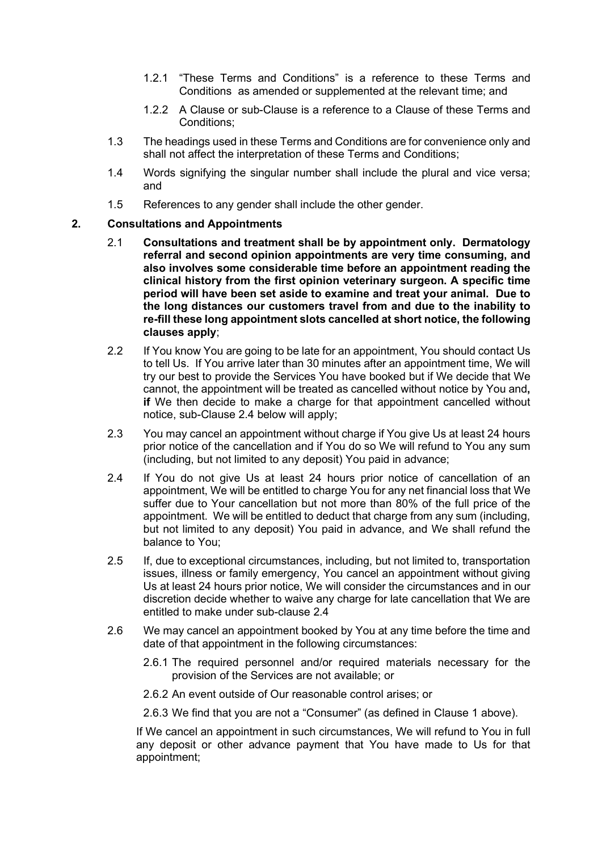- 1.2.1 "These Terms and Conditions" is a reference to these Terms and Conditions as amended or supplemented at the relevant time; and
- 1.2.2 A Clause or sub-Clause is a reference to a Clause of these Terms and Conditions;
- 1.3 The headings used in these Terms and Conditions are for convenience only and shall not affect the interpretation of these Terms and Conditions;
- 1.4 Words signifying the singular number shall include the plural and vice versa; and
- 1.5 References to any gender shall include the other gender.

# 2. Consultations and Appointments

- 2.1 Consultations and treatment shall be by appointment only. Dermatology referral and second opinion appointments are very time consuming, and also involves some considerable time before an appointment reading the clinical history from the first opinion veterinary surgeon. A specific time period will have been set aside to examine and treat your animal. Due to the long distances our customers travel from and due to the inability to re-fill these long appointment slots cancelled at short notice, the following clauses apply;
- 2.2 If You know You are going to be late for an appointment, You should contact Us to tell Us. If You arrive later than 30 minutes after an appointment time, We will try our best to provide the Services You have booked but if We decide that We cannot, the appointment will be treated as cancelled without notice by You and, if We then decide to make a charge for that appointment cancelled without notice, sub-Clause 2.4 below will apply;
- 2.3 You may cancel an appointment without charge if You give Us at least 24 hours prior notice of the cancellation and if You do so We will refund to You any sum (including, but not limited to any deposit) You paid in advance;
- 2.4 If You do not give Us at least 24 hours prior notice of cancellation of an appointment, We will be entitled to charge You for any net financial loss that We suffer due to Your cancellation but not more than 80% of the full price of the appointment. We will be entitled to deduct that charge from any sum (including, but not limited to any deposit) You paid in advance, and We shall refund the balance to You;
- 2.5 If, due to exceptional circumstances, including, but not limited to, transportation issues, illness or family emergency, You cancel an appointment without giving Us at least 24 hours prior notice, We will consider the circumstances and in our discretion decide whether to waive any charge for late cancellation that We are entitled to make under sub-clause 2.4
- 2.6 We may cancel an appointment booked by You at any time before the time and date of that appointment in the following circumstances:
	- 2.6.1 The required personnel and/or required materials necessary for the provision of the Services are not available; or
	- 2.6.2 An event outside of Our reasonable control arises; or
	- 2.6.3 We find that you are not a "Consumer" (as defined in Clause 1 above).

If We cancel an appointment in such circumstances, We will refund to You in full any deposit or other advance payment that You have made to Us for that appointment;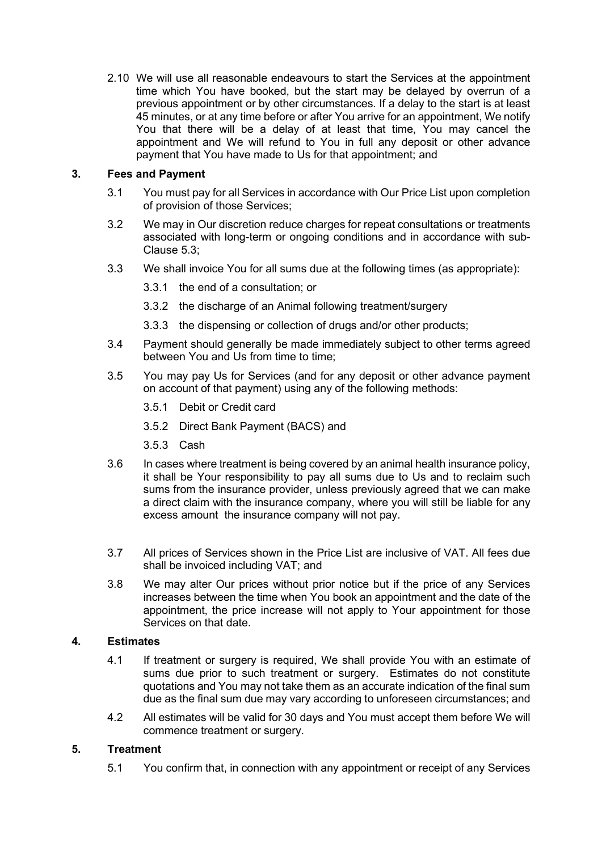2.10 We will use all reasonable endeavours to start the Services at the appointment time which You have booked, but the start may be delayed by overrun of a previous appointment or by other circumstances. If a delay to the start is at least 45 minutes, or at any time before or after You arrive for an appointment, We notify You that there will be a delay of at least that time, You may cancel the appointment and We will refund to You in full any deposit or other advance payment that You have made to Us for that appointment; and

# 3. Fees and Payment

- 3.1 You must pay for all Services in accordance with Our Price List upon completion of provision of those Services;
- 3.2 We may in Our discretion reduce charges for repeat consultations or treatments associated with long-term or ongoing conditions and in accordance with sub-Clause 5.3;
- 3.3 We shall invoice You for all sums due at the following times (as appropriate):
	- 3.3.1 the end of a consultation; or
	- 3.3.2 the discharge of an Animal following treatment/surgery
	- 3.3.3 the dispensing or collection of drugs and/or other products;
- 3.4 Payment should generally be made immediately subject to other terms agreed between You and Us from time to time;
- 3.5 You may pay Us for Services (and for any deposit or other advance payment on account of that payment) using any of the following methods:
	- 3.5.1 Debit or Credit card
	- 3.5.2 Direct Bank Payment (BACS) and
	- 3.5.3 Cash
- 3.6 In cases where treatment is being covered by an animal health insurance policy, it shall be Your responsibility to pay all sums due to Us and to reclaim such sums from the insurance provider, unless previously agreed that we can make a direct claim with the insurance company, where you will still be liable for any excess amount the insurance company will not pay.
- 3.7 All prices of Services shown in the Price List are inclusive of VAT. All fees due shall be invoiced including VAT; and
- 3.8 We may alter Our prices without prior notice but if the price of any Services increases between the time when You book an appointment and the date of the appointment, the price increase will not apply to Your appointment for those Services on that date.

# 4. Estimates

- 4.1 If treatment or surgery is required, We shall provide You with an estimate of sums due prior to such treatment or surgery. Estimates do not constitute quotations and You may not take them as an accurate indication of the final sum due as the final sum due may vary according to unforeseen circumstances; and
- 4.2 All estimates will be valid for 30 days and You must accept them before We will commence treatment or surgery.

# 5. Treatment

5.1 You confirm that, in connection with any appointment or receipt of any Services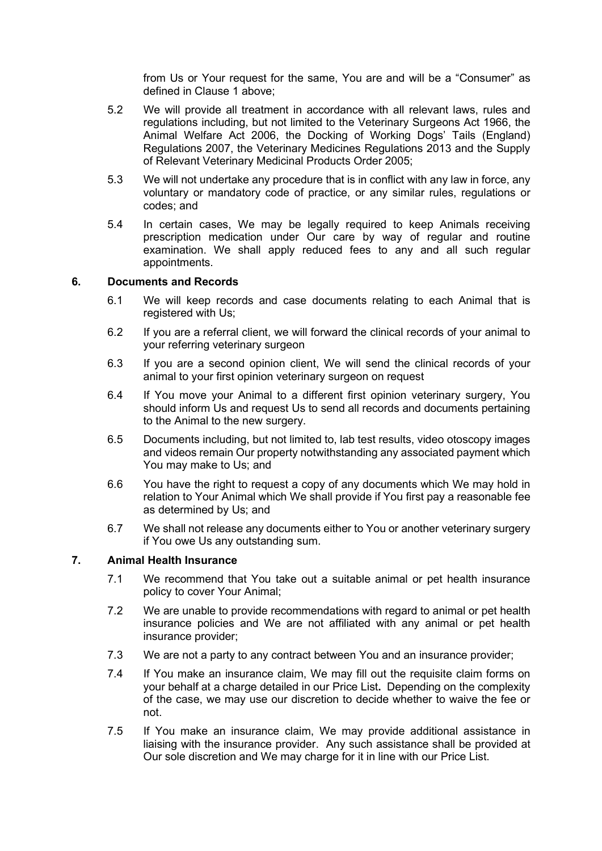from Us or Your request for the same, You are and will be a "Consumer" as defined in Clause 1 above;

- 5.2 We will provide all treatment in accordance with all relevant laws, rules and regulations including, but not limited to the Veterinary Surgeons Act 1966, the Animal Welfare Act 2006, the Docking of Working Dogs' Tails (England) Regulations 2007, the Veterinary Medicines Regulations 2013 and the Supply of Relevant Veterinary Medicinal Products Order 2005;
- 5.3 We will not undertake any procedure that is in conflict with any law in force, any voluntary or mandatory code of practice, or any similar rules, regulations or codes; and
- 5.4 In certain cases, We may be legally required to keep Animals receiving prescription medication under Our care by way of regular and routine examination. We shall apply reduced fees to any and all such regular appointments.

### 6. Documents and Records

- 6.1 We will keep records and case documents relating to each Animal that is registered with Us;
- 6.2 If you are a referral client, we will forward the clinical records of your animal to your referring veterinary surgeon
- 6.3 If you are a second opinion client, We will send the clinical records of your animal to your first opinion veterinary surgeon on request
- 6.4 If You move your Animal to a different first opinion veterinary surgery, You should inform Us and request Us to send all records and documents pertaining to the Animal to the new surgery.
- 6.5 Documents including, but not limited to, lab test results, video otoscopy images and videos remain Our property notwithstanding any associated payment which You may make to Us; and
- 6.6 You have the right to request a copy of any documents which We may hold in relation to Your Animal which We shall provide if You first pay a reasonable fee as determined by Us; and
- 6.7 We shall not release any documents either to You or another veterinary surgery if You owe Us any outstanding sum.

# 7. Animal Health Insurance

- 7.1 We recommend that You take out a suitable animal or pet health insurance policy to cover Your Animal;
- 7.2 We are unable to provide recommendations with regard to animal or pet health insurance policies and We are not affiliated with any animal or pet health insurance provider;
- 7.3 We are not a party to any contract between You and an insurance provider;
- 7.4 If You make an insurance claim, We may fill out the requisite claim forms on your behalf at a charge detailed in our Price List. Depending on the complexity of the case, we may use our discretion to decide whether to waive the fee or not.
- 7.5 If You make an insurance claim, We may provide additional assistance in liaising with the insurance provider. Any such assistance shall be provided at Our sole discretion and We may charge for it in line with our Price List.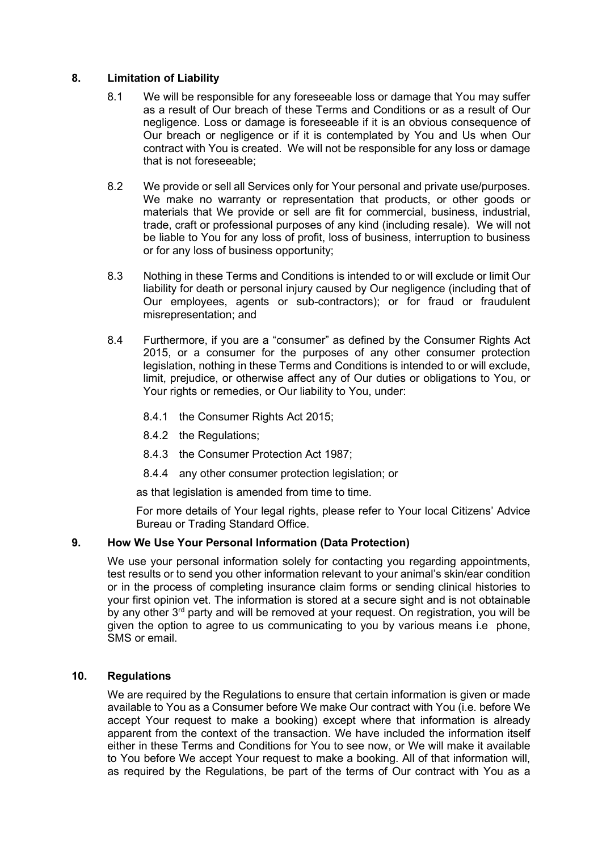# 8. Limitation of Liability

- 8.1 We will be responsible for any foreseeable loss or damage that You may suffer as a result of Our breach of these Terms and Conditions or as a result of Our negligence. Loss or damage is foreseeable if it is an obvious consequence of Our breach or negligence or if it is contemplated by You and Us when Our contract with You is created. We will not be responsible for any loss or damage that is not foreseeable;
- 8.2 We provide or sell all Services only for Your personal and private use/purposes. We make no warranty or representation that products, or other goods or materials that We provide or sell are fit for commercial, business, industrial, trade, craft or professional purposes of any kind (including resale). We will not be liable to You for any loss of profit, loss of business, interruption to business or for any loss of business opportunity;
- 8.3 Nothing in these Terms and Conditions is intended to or will exclude or limit Our liability for death or personal injury caused by Our negligence (including that of Our employees, agents or sub-contractors); or for fraud or fraudulent misrepresentation; and
- 8.4 Furthermore, if you are a "consumer" as defined by the Consumer Rights Act 2015, or a consumer for the purposes of any other consumer protection legislation, nothing in these Terms and Conditions is intended to or will exclude, limit, prejudice, or otherwise affect any of Our duties or obligations to You, or Your rights or remedies, or Our liability to You, under:
	- 8.4.1 the Consumer Rights Act 2015;
	- 8.4.2 the Regulations;
	- 8.4.3 the Consumer Protection Act 1987;
	- 8.4.4 any other consumer protection legislation; or

as that legislation is amended from time to time.

For more details of Your legal rights, please refer to Your local Citizens' Advice Bureau or Trading Standard Office.

# 9. How We Use Your Personal Information (Data Protection)

We use your personal information solely for contacting you regarding appointments, test results or to send you other information relevant to your animal's skin/ear condition or in the process of completing insurance claim forms or sending clinical histories to your first opinion vet. The information is stored at a secure sight and is not obtainable by any other 3<sup>rd</sup> party and will be removed at your request. On registration, you will be given the option to agree to us communicating to you by various means i.e phone, SMS or email.

# 10. Regulations

We are required by the Regulations to ensure that certain information is given or made available to You as a Consumer before We make Our contract with You (i.e. before We accept Your request to make a booking) except where that information is already apparent from the context of the transaction. We have included the information itself either in these Terms and Conditions for You to see now, or We will make it available to You before We accept Your request to make a booking. All of that information will, as required by the Regulations, be part of the terms of Our contract with You as a